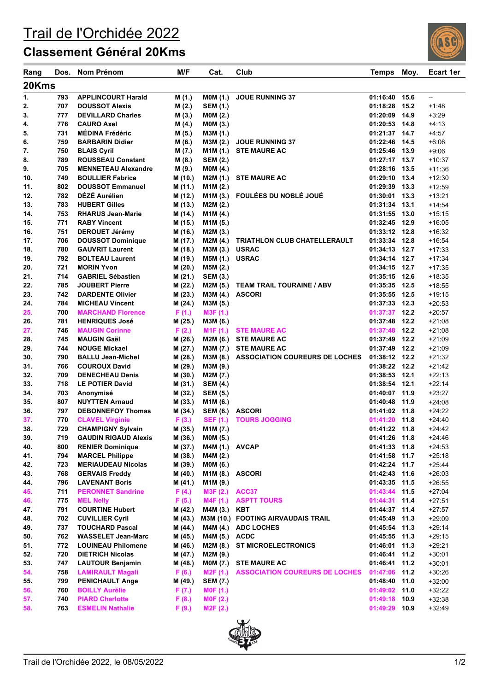## Trail de l'Orchidée 2022

## **Classement Général 20Kms**

| Rang       | Dos.       | Nom Prénom                                             | M/F                | Cat.                              | Club                                  | <b>Temps</b>              | Moy.         | <b>Ecart 1er</b>     |  |  |  |  |
|------------|------------|--------------------------------------------------------|--------------------|-----------------------------------|---------------------------------------|---------------------------|--------------|----------------------|--|--|--|--|
| 20Kms      |            |                                                        |                    |                                   |                                       |                           |              |                      |  |  |  |  |
| 1.         | 793        | <b>APPLINCOURT Harald</b>                              | M (1.)             | <b>MOM (1.)</b>                   | <b>JOUE RUNNING 37</b>                | 01:16:40                  | 15.6         | --                   |  |  |  |  |
| 2.         | 707        | <b>DOUSSOT Alexis</b>                                  | M(2.)              | <b>SEM (1.)</b>                   |                                       | 01:18:28                  | 15.2         | $+1:48$              |  |  |  |  |
| 3.         | 777        | <b>DEVILLARD Charles</b>                               | M(3.)              | MOM (2.)                          |                                       | 01:20:09                  | 14.9         | $+3:29$              |  |  |  |  |
| 4.         | 776        | <b>CAURO Axel</b>                                      | M (4.)             | MOM (3.)                          |                                       | 01:20:53 14.8             |              | $+4:13$              |  |  |  |  |
| 5.         | 731        | <b>MÉDINA Frédéric</b>                                 | M (5.)             | M3M (1.)                          |                                       | 01:21:37 14.7             |              | $+4:57$              |  |  |  |  |
| 6.         | 759        | <b>BARBARIN Didier</b>                                 | M (6.)             | M3M (2.)                          | <b>JOUE RUNNING 37</b>                | 01:22:46 14.5             |              | $+6:06$              |  |  |  |  |
| 7.         | 750        | <b>BLAIS Cyril</b>                                     | M (7.)             | M1M (1.)                          | <b>STE MAURE AC</b>                   | 01:25:46                  | 13.9         | $+9:06$              |  |  |  |  |
| 8.         | 789        | <b>ROUSSEAU Constant</b>                               | M (8.)             | <b>SEM (2.)</b>                   |                                       | 01:27:17 13.7             |              | $+10:37$             |  |  |  |  |
| 9.         | 705        | <b>MENNETEAU Alexandre</b>                             | M (9.)             | MOM (4.)                          |                                       | 01:28:16                  | 13.5         | $+11:36$             |  |  |  |  |
| 10.        | 749        | <b>BOULLIER Fabrice</b><br><b>DOUSSOT Emmanuel</b>     | M (10.)            | M2M (1.)                          | <b>STE MAURE AC</b>                   | 01:29:10 13.4<br>01:29:39 |              | $+12:30$             |  |  |  |  |
| 11.<br>12. | 802<br>782 | DÉZÉ Aurélien                                          | M (11.)<br>M (12.) | M1M (2.)                          | M1M (3.) FOULÉES DU NOBLÉ JOUÉ        | 01:30:01                  | 13.3<br>13.3 | $+12:59$             |  |  |  |  |
| 13.        | 783        | <b>HUBERT Gilles</b>                                   | M (13.)            | M2M(2.)                           |                                       | 01:31:34                  | 13.1         | $+13:21$<br>$+14:54$ |  |  |  |  |
| 14.        | 753        | <b>RHARUS Jean-Marie</b>                               | M (14.)            | M1M (4.)                          |                                       | 01:31:55                  | 13.0         | $+15:15$             |  |  |  |  |
| 15.        | 771        | <b>RABY Vincent</b>                                    | M (15.)            | M1M (5.)                          |                                       | 01:32:45 12.9             |              | $+16:05$             |  |  |  |  |
| 16.        | 751        | <b>DEROUET Jérémy</b>                                  | M (16.)            | M2M (3.)                          |                                       | 01:33:12 12.8             |              | $+16:32$             |  |  |  |  |
| 17.        | 706        | <b>DOUSSOT Dominique</b>                               | M (17.)            | M2M (4.)                          | TRIATHLON CLUB CHATELLERAULT          | 01:33:34 12.8             |              | $+16:54$             |  |  |  |  |
| 18.        | 780        | <b>GAUVRIT Laurent</b>                                 | M (18.)            | M3M (3.)                          | <b>USRAC</b>                          | 01:34:13 12.7             |              | $+17:33$             |  |  |  |  |
| 19.        | 792        | <b>BOLTEAU Laurent</b>                                 | M (19.)            | M5M (1.)                          | <b>USRAC</b>                          | 01:34:14                  | 12.7         | $+17:34$             |  |  |  |  |
| 20.        | 721        | <b>MORIN Yvon</b>                                      | M (20.)            | M5M (2.)                          |                                       | 01:34:15 12.7             |              | $+17:35$             |  |  |  |  |
| 21.        | 714        | <b>GABRIEL Sébastien</b>                               | M (21.)            | <b>SEM (3.)</b>                   |                                       | 01:35:15 12.6             |              | $+18:35$             |  |  |  |  |
| 22.        | 785        | <b>JOUBERT Pierre</b>                                  | M (22.)            | M2M (5.)                          | <b>TEAM TRAIL TOURAINE / ABV</b>      | 01:35:35                  | 12.5         | $+18:55$             |  |  |  |  |
| 23.        | 742        | <b>DARDENTE Olivier</b>                                | M (23.)            | M3M (4.)                          | <b>ASCORI</b>                         | 01:35:55 12.5             |              | $+19:15$             |  |  |  |  |
| 24.        | 784        | <b>MICHEAU Vincent</b>                                 | M (24.)            | M3M (5.)                          |                                       | $01:37:33$ 12.3           |              | $+20:53$             |  |  |  |  |
| 25.        | 700        | <b>MARCHAND Florence</b>                               | F(1.)              | M3F (1.)                          |                                       | $01:37:37$ 12.2           |              | $+20:57$             |  |  |  |  |
| 26.        | 781        | <b>HENRIQUES José</b>                                  | M (25.)            | M3M (6.)                          |                                       | 01:37:48                  | 12.2         | $+21:08$             |  |  |  |  |
| 27.        | 746        | <b>MAUGIN Corinne</b>                                  | F(2.)              | M <sub>1</sub> F(1.)              | <b>STE MAURE AC</b>                   | $01:37:48$ 12.2           |              | $+21:08$             |  |  |  |  |
| 28.        | 745        | <b>MAUGIN Gaël</b>                                     | M (26.)            | M2M (6.)                          | <b>STE MAURE AC</b>                   | 01:37:49                  | 12.2         | $+21:09$             |  |  |  |  |
| 29.        | 744        | <b>NOUGE Mickael</b>                                   | M(27.)             | M3M (7.)                          | <b>STE MAURE AC</b>                   | 01:37:49                  | 12.2         | $+21:09$             |  |  |  |  |
| 30.        | 790        | <b>BALLU Jean-Michel</b>                               | M (28.)            | M3M (8.)                          | <b>ASSOCIATION COUREURS DE LOCHES</b> | 01:38:12 12.2             |              | $+21:32$             |  |  |  |  |
| 31.        | 766        | <b>COUROUX David</b>                                   | M (29.)            | M3M (9.)                          |                                       | $01:38:22$ 12.2           |              | $+21:42$             |  |  |  |  |
| 32.        | 709        | <b>DENECHEAU Denis</b>                                 | M (30.)            | M2M (7.)                          |                                       | 01:38:53 12.1             |              | $+22:13$             |  |  |  |  |
| 33.        | 718        | <b>LE POTIER David</b>                                 | M (31.)            | <b>SEM (4.)</b>                   |                                       | 01:38:54                  | 12.1         | $+22:14$             |  |  |  |  |
| 34.        | 703        | Anonymisé                                              | M (32.)            | <b>SEM (5.)</b>                   |                                       | 01:40:07                  | 11.9         | $+23:27$             |  |  |  |  |
| 35.        | 807        | <b>NUYTTEN Arnaud</b>                                  | M (33.)            | M1M (6.)                          |                                       | 01:40:48                  | 11.9         | $+24:08$             |  |  |  |  |
| 36.        | 797        | <b>DEBONNEFOY Thomas</b>                               | M (34.)            | <b>SEM (6.)</b>                   | <b>ASCORI</b>                         | 01:41:02                  | 11.8         | $+24:22$             |  |  |  |  |
| 37.<br>38. | 770<br>729 | <b>CLAVEL Virginie</b><br><b>CHAMPIGNY Sylvain</b>     | F(3.)              | <b>SEF (1.)</b>                   | <b>TOURS JOGGING</b>                  | 01:41:20 11.8             |              | $+24:40$<br>$+24:42$ |  |  |  |  |
|            | 719        |                                                        | M (35.)            | M1M (7.)                          |                                       | 01:41:22 11.8             | 11.8         | $+24:46$             |  |  |  |  |
| 39.<br>40. | 800        | <b>GAUDIN RIGAUD Alexis</b><br><b>RENIER Dominique</b> | M (36.)<br>M (37.) | <b>MOM (5.)</b><br>M4M (1.) AVCAP |                                       | 01:41:26<br>01:41:33 11.8 |              | $+24:53$             |  |  |  |  |
| 41.        | 794        | <b>MARCEL Philippe</b>                                 | M (38.)            | M4M (2.)                          |                                       | 01:41:58 11.7             |              | $+25:18$             |  |  |  |  |
| 42.        | 723        | <b>MERIAUDEAU Nicolas</b>                              | M (39.)            | <b>MOM (6.)</b>                   |                                       | 01:42:24 11.7             |              | $+25:44$             |  |  |  |  |
| 43.        | 768        | <b>GERVAIS Freddy</b>                                  | M (40.)            | M1M (8.) ASCORI                   |                                       | 01:42:43 11.6             |              | $+26:03$             |  |  |  |  |
| 44.        | 796        | <b>LAVENANT Boris</b>                                  | M (41.)            | M1M (9.)                          |                                       | 01:43:35 11.5             |              | $+26:55$             |  |  |  |  |
| 45.        | 711        | <b>PERONNET Sandrine</b>                               | F(4.)              | M3F (2.)                          | ACC37                                 | 01:43:44                  | 11.5         | $+27:04$             |  |  |  |  |
| 46.        | 775        | <b>MEL Nelly</b>                                       | F(5.)              | M4F (1.)                          | <b>ASPTT TOURS</b>                    | 01:44:31 11.4             |              | $+27:51$             |  |  |  |  |
| 47.        | 791        | <b>COURTINE Hubert</b>                                 | M (42.)            | M4M (3.)                          | KBT                                   | 01:44:37 11.4             |              | $+27:57$             |  |  |  |  |
| 48.        | 702        | <b>CUVILLIER Cyril</b>                                 | M (43.)            |                                   | M3M (10.) FOOTING AIRVAUDAIS TRAIL    | 01:45:49 11.3             |              | $+29:09$             |  |  |  |  |
| 49.        | 737        | <b>TOUCHARD Pascal</b>                                 | M (44.)            |                                   | M4M (4.) ADC LOCHES                   | 01:45:54 11.3             |              | $+29:14$             |  |  |  |  |
| 50.        | 762        | <b>WASSELET Jean-Marc</b>                              | M (45.)            | M4M (5.) ACDC                     |                                       | 01:45:55 11.3             |              | $+29:15$             |  |  |  |  |
| 51.        | 772        | <b>LOUINEAU Philomene</b>                              | M (46.)            | M2M (8.)                          | <b>ST MICROELECTRONICS</b>            | 01:46:01                  | 11.3         | $+29:21$             |  |  |  |  |
| 52.        | 720        | <b>DIETRICH Nicolas</b>                                | M (47.)            | M2M (9.)                          |                                       | 01:46:41 11.2             |              | $+30:01$             |  |  |  |  |
| 53.        | 747        | <b>LAUTOUR Benjamin</b>                                | M (48.)            | <b>MOM (7.)</b>                   | <b>STE MAURE AC</b>                   | 01:46:41                  | 11.2         | $+30:01$             |  |  |  |  |
| 54.        | 758        | <b>LAMIRAULT Magali</b>                                | F(6.)              | M2F(1.)                           | <b>ASSOCIATION COUREURS DE LOCHES</b> | 01:47:06 11.2             |              | $+30:26$             |  |  |  |  |
| 55.        | 799        | <b>PENICHAULT Ange</b>                                 | M (49.)            | <b>SEM (7.)</b>                   |                                       | 01:48:40                  | 11.0         | $+32:00$             |  |  |  |  |
| 56.        | 760        | <b>BOILLY Aurélie</b>                                  | F(7.)              | MOF(1.)                           |                                       | 01:49:02 11.0             |              | $+32:22$             |  |  |  |  |
| 57.        | 740        | <b>PIARD Charlotte</b>                                 | F(8.)              | MOF(2.)                           |                                       | 01:49:18                  | 10.9         | $+32:38$             |  |  |  |  |
| 58.        | 763        | <b>ESMELIN Nathalie</b>                                | F(9.)              | M2F (2.)                          |                                       | 01:49:29                  | 10.9         | $+32:49$             |  |  |  |  |